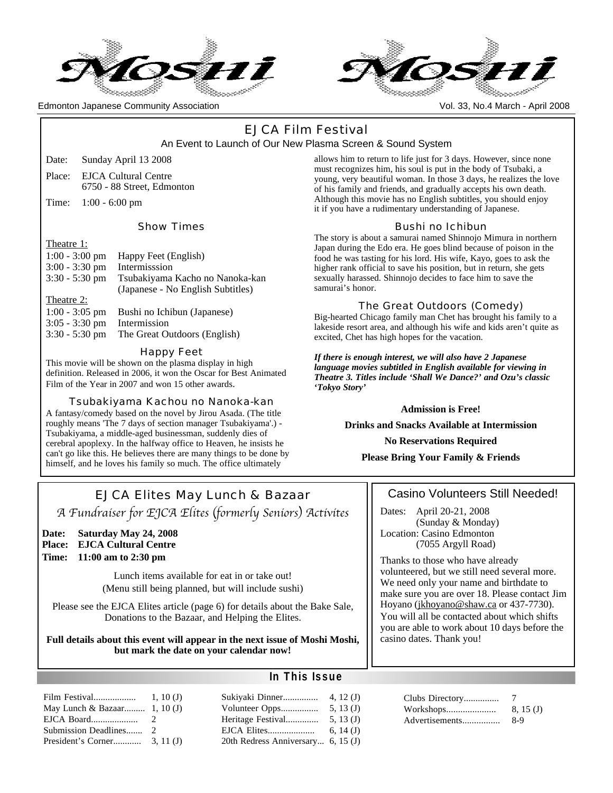



Edmonton Japanese Community Association Vol. 33, No.4 March - April 2008

## EJCA Film Festival An Event to Launch of Our New Plasma Screen & Sound System

- Date: Sunday April 13 2008
- Place: EJCA Cultural Centre 6750 - 88 Street, Edmonton
- Time: 1:00 6:00 pm

Show Times

#### Theatre 1:

| 1110au 11        |                                   |
|------------------|-----------------------------------|
| $1:00 - 3:00$ pm | Happy Feet (English)              |
| $3:00 - 3:30$ pm | Intermisssion                     |
| $3:30 - 5:30$ pm | Tsubakiyama Kacho no Nanoka-kan   |
|                  | (Japanese - No English Subtitles) |
| Theatre 2:       |                                   |
| $1:00 - 3:05$ pm | Bushi no Ichibun (Japanese)       |
| $3:05 - 3:30$ pm | Intermission                      |
| $3:30 - 5:30$ pm | The Great Outdoors (English)      |
|                  |                                   |
|                  |                                   |

#### Happy Feet

This movie will be shown on the plasma display in high definition. Released in 2006, it won the Oscar for Best Animated Film of the Year in 2007 and won 15 other awards.

Tsubakiyama Kachou no Nanoka-kan A fantasy/comedy based on the novel by Jirou Asada. (The title roughly means 'The 7 days of section manager Tsubakiyama'.) - Tsubakiyama, a middle-aged businessman, suddenly dies of cerebral apoplexy. In the halfway office to Heaven, he insists he can't go like this. He believes there are many things to be done by himself, and he loves his family so much. The office ultimately

allows him to return to life just for 3 days. However, since none must recognizes him, his soul is put in the body of Tsubaki, a young, very beautiful woman. In those 3 days, he realizes the love of his family and friends, and gradually accepts his own death. Although this movie has no English subtitles, you should enjoy it if you have a rudimentary understanding of Japanese.

## Bushi no Ichibun

The story is about a samurai named Shinnojo Mimura in northern Japan during the Edo era. He goes blind because of poison in the food he was tasting for his lord. His wife, Kayo, goes to ask the higher rank official to save his position, but in return, she gets sexually harassed. Shinnojo decides to face him to save the samurai's honor.

## The Great Outdoors (Comedy)

Big-hearted Chicago family man Chet has brought his family to a lakeside resort area, and although his wife and kids aren't quite as excited, Chet has high hopes for the vacation.

*If there is enough interest, we will also have 2 Japanese language movies subtitled in English available for viewing in Theatre 3. Titles include 'Shall We Dance?' and Ozu's classic 'Tokyo Story'*

**Admission is Free!**

**Drinks and Snacks Available at Intermission**

**No Reservations Required**

**Please Bring Your Family & Friends**

## EJCA Elites May Lunch & Bazaar *A Fundraiser for EJCA Elites* (*formerly Seniors*) *Activites*

## **Date: Saturday May 24, 2008**

**Place: EJCA Cultural Centre**

## **Time: 11:00 am to 2:30 pm**

Lunch items available for eat in or take out! (Menu still being planned, but will include sushi)

Please see the EJCA Elites article (page 6) for details about the Bake Sale, Donations to the Bazaar, and Helping the Elites.

#### **Full details about this event will appear in the next issue of Moshi Moshi, but mark the date on your calendar now!**

| May Lunch & Bazaar 1, 10 (J) |  |
|------------------------------|--|
|                              |  |
| Submission Deadlines 2       |  |
|                              |  |

## **In This Issue**

| Sukiyaki Dinner                    | 4, 12 $(J)$ |
|------------------------------------|-------------|
| Volunteer Opps                     | 5, 13 $(J)$ |
| Heritage Festival                  | 5, 13 $(J)$ |
| EJCA Elites                        | 6, 14 $(J)$ |
| 20th Redress Anniversary 6, 15 (J) |             |
|                                    |             |

## Casino Volunteers Still Needed!

Dates: April 20-21, 2008 (Sunday & Monday) Location: Casino Edmonton (7055 Argyll Road)

Thanks to those who have already volunteered, but we still need several more. We need only your name and birthdate to make sure you are over 18. Please contact Jim Hoyano (jkhoyano@shaw.ca or 437-7730). You will all be contacted about which shifts you are able to work about 10 days before the casino dates. Thank you!

| Clubs Directory |          |
|-----------------|----------|
| Workshops       | 8, 15(J) |
| Advertisements  | 8-9      |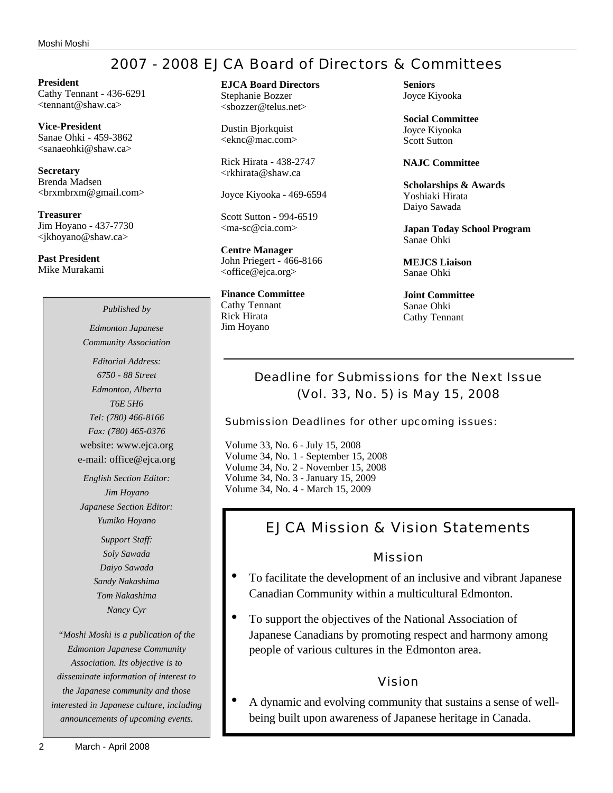## 2007 - 2008 EJCA Board of Directors & Committees

**President** Cathy Tennant - 436-6291 <tennant@shaw.ca>

**Vice-President** Sanae Ohki - 459-3862 <sanaeohki@shaw.ca>

**Secretary** Brenda Madsen <brxmbrxm@gmail.com>

**Treasurer** Jim Hoyano - 437-7730 <jkhoyano@shaw.ca>

**Past President** Mike Murakami **EJCA Board Directors** Stephanie Bozzer

<sbozzer@telus.net>

Dustin Bjorkquist <eknc@mac.com>

Rick Hirata - 438-2747 <rkhirata@shaw.ca

Joyce Kiyooka - 469-6594

Scott Sutton - 994-6519 <ma-sc@cia.com>

**Centre Manager** John Priegert - 466-8166 <office@ejca.org>

**Finance Committee** Cathy Tennant Rick Hirata Jim Hoyano

**Seniors** Joyce Kiyooka

**Social Committee** Joyce Kiyooka Scott Sutton

**NAJC Committee**

**Scholarships & Awards** Yoshiaki Hirata Daiyo Sawada

**Japan Today School Program** Sanae Ohki

**MEJCS Liaison** Sanae Ohki

**Joint Committee** Sanae Ohki Cathy Tennant

## Deadline for Submissions for the Next Issue (Vol. 33, No. 5) is May 15, 2008

Submission Deadlines for other upcoming issues:

Volume 33, No. 6 - July 15, 2008 Volume 34, No. 1 - September 15, 2008 Volume 34, No. 2 - November 15, 2008 Volume 34, No. 3 - January 15, 2009 Volume 34, No. 4 - March 15, 2009

## EJCA Mission & Vision Statements

Mission

- To facilitate the development of an inclusive and vibrant Japanese Canadian Community within a multicultural Edmonton.
- To support the objectives of the National Association of Japanese Canadians by promoting respect and harmony among people of various cultures in the Edmonton area.

## Vision

• A dynamic and evolving community that sustains a sense of wellbeing built upon awareness of Japanese heritage in Canada.

*Community Association Editorial Address: 6750 - 88 Street Edmonton, Alberta T6E 5H6 Tel: (780) 466-8166 Fax: (780) 465-0376* website: www.ejca.org e-mail: office@ejca.org

*Published by Edmonton Japanese*

*English Section Editor: Jim Hoyano Japanese Section Editor: Yumiko Hoyano*

> *Support Staff: Soly Sawada Daiyo Sawada Sandy Nakashima Tom Nakashima Nancy Cyr*

*"Moshi Moshi is a publication of the Edmonton Japanese Community Association. Its objective is to disseminate information of interest to the Japanese community and those interested in Japanese culture, including announcements of upcoming events.*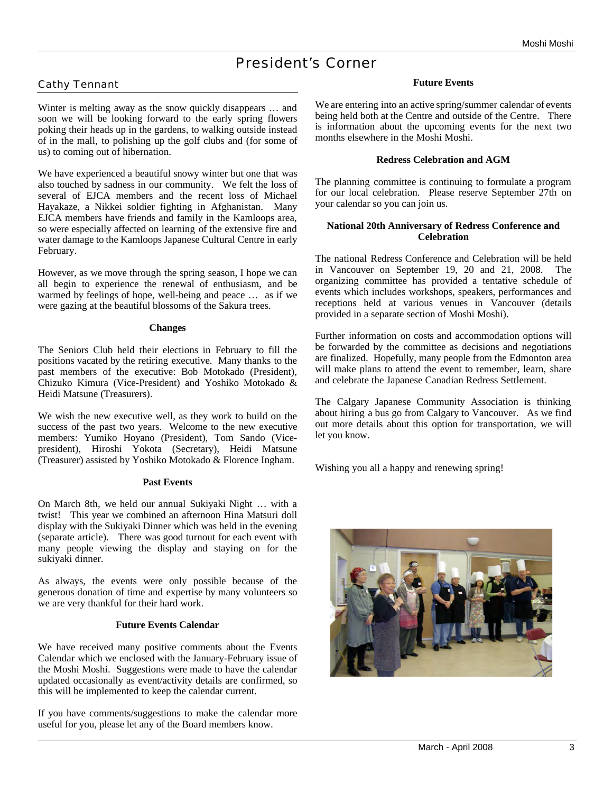## President's Corner

## Cathy Tennant

Winter is melting away as the snow quickly disappears … and soon we will be looking forward to the early spring flowers poking their heads up in the gardens, to walking outside instead of in the mall, to polishing up the golf clubs and (for some of us) to coming out of hibernation.

We have experienced a beautiful snowy winter but one that was also touched by sadness in our community. We felt the loss of several of EJCA members and the recent loss of Michael Hayakaze, a Nikkei soldier fighting in Afghanistan. Many EJCA members have friends and family in the Kamloops area, so were especially affected on learning of the extensive fire and water damage to the Kamloops Japanese Cultural Centre in early February.

However, as we move through the spring season, I hope we can all begin to experience the renewal of enthusiasm, and be warmed by feelings of hope, well-being and peace … as if we were gazing at the beautiful blossoms of the Sakura trees.

#### **Changes**

The Seniors Club held their elections in February to fill the positions vacated by the retiring executive. Many thanks to the past members of the executive: Bob Motokado (President), Chizuko Kimura (Vice-President) and Yoshiko Motokado & Heidi Matsune (Treasurers).

We wish the new executive well, as they work to build on the success of the past two years. Welcome to the new executive members: Yumiko Hoyano (President), Tom Sando (Vicepresident), Hiroshi Yokota (Secretary), Heidi Matsune (Treasurer) assisted by Yoshiko Motokado & Florence Ingham.

## **Past Events**

On March 8th, we held our annual Sukiyaki Night … with a twist! This year we combined an afternoon Hina Matsuri doll display with the Sukiyaki Dinner which was held in the evening (separate article). There was good turnout for each event with many people viewing the display and staying on for the sukiyaki dinner.

As always, the events were only possible because of the generous donation of time and expertise by many volunteers so we are very thankful for their hard work.

## **Future Events Calendar**

We have received many positive comments about the Events Calendar which we enclosed with the January-February issue of the Moshi Moshi. Suggestions were made to have the calendar updated occasionally as event/activity details are confirmed, so this will be implemented to keep the calendar current.

If you have comments/suggestions to make the calendar more useful for you, please let any of the Board members know.

#### **Future Events**

We are entering into an active spring/summer calendar of events being held both at the Centre and outside of the Centre. There is information about the upcoming events for the next two months elsewhere in the Moshi Moshi.

#### **Redress Celebration and AGM**

The planning committee is continuing to formulate a program for our local celebration. Please reserve September 27th on your calendar so you can join us.

#### **National 20th Anniversary of Redress Conference and Celebration**

The national Redress Conference and Celebration will be held in Vancouver on September 19, 20 and 21, 2008. The organizing committee has provided a tentative schedule of events which includes workshops, speakers, performances and receptions held at various venues in Vancouver (details provided in a separate section of Moshi Moshi).

Further information on costs and accommodation options will be forwarded by the committee as decisions and negotiations are finalized. Hopefully, many people from the Edmonton area will make plans to attend the event to remember, learn, share and celebrate the Japanese Canadian Redress Settlement.

The Calgary Japanese Community Association is thinking about hiring a bus go from Calgary to Vancouver. As we find out more details about this option for transportation, we will let you know.

Wishing you all a happy and renewing spring!

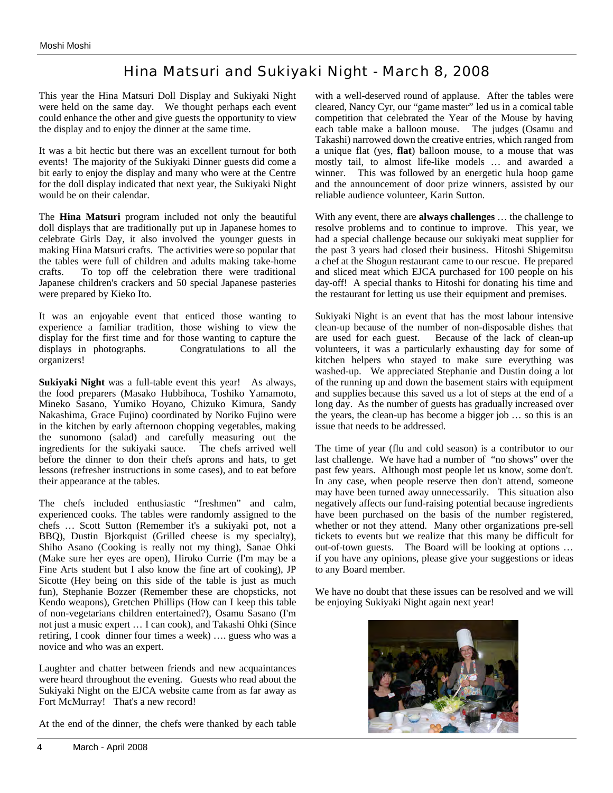# Hina Matsuri and Sukiyaki Night - March 8, 2008

This year the Hina Matsuri Doll Display and Sukiyaki Night were held on the same day. We thought perhaps each event could enhance the other and give guests the opportunity to view the display and to enjoy the dinner at the same time.

It was a bit hectic but there was an excellent turnout for both events! The majority of the Sukiyaki Dinner guests did come a bit early to enjoy the display and many who were at the Centre for the doll display indicated that next year, the Sukiyaki Night would be on their calendar.

The **Hina Matsuri** program included not only the beautiful doll displays that are traditionally put up in Japanese homes to celebrate Girls Day, it also involved the younger guests in making Hina Matsuri crafts. The activities were so popular that the tables were full of children and adults making take-home crafts. To top off the celebration there were traditional Japanese children's crackers and 50 special Japanese pasteries were prepared by Kieko Ito.

It was an enjoyable event that enticed those wanting to experience a familiar tradition, those wishing to view the display for the first time and for those wanting to capture the displays in photographs. Congratulations to all the organizers!

**Sukiyaki Night** was a full-table event this year! As always, the food preparers (Masako Hubbihoca, Toshiko Yamamoto, Mineko Sasano, Yumiko Hoyano, Chizuko Kimura, Sandy Nakashima, Grace Fujino) coordinated by Noriko Fujino were in the kitchen by early afternoon chopping vegetables, making the sunomono (salad) and carefully measuring out the ingredients for the sukiyaki sauce. The chefs arrived well before the dinner to don their chefs aprons and hats, to get lessons (refresher instructions in some cases), and to eat before their appearance at the tables.

The chefs included enthusiastic "freshmen" and calm, experienced cooks. The tables were randomly assigned to the chefs … Scott Sutton (Remember it's a sukiyaki pot, not a BBQ), Dustin Bjorkquist (Grilled cheese is my specialty), Shiho Asano (Cooking is really not my thing), Sanae Ohki (Make sure her eyes are open), Hiroko Currie (I'm may be a Fine Arts student but I also know the fine art of cooking), JP Sicotte (Hey being on this side of the table is just as much fun), Stephanie Bozzer (Remember these are chopsticks, not Kendo weapons), Gretchen Phillips (How can I keep this table of non-vegetarians children entertained?), Osamu Sasano (I'm not just a music expert … I can cook), and Takashi Ohki (Since retiring, I cook dinner four times a week) …. guess who was a novice and who was an expert.

Laughter and chatter between friends and new acquaintances were heard throughout the evening. Guests who read about the Sukiyaki Night on the EJCA website came from as far away as Fort McMurray! That's a new record!

At the end of the dinner, the chefs were thanked by each table

with a well-deserved round of applause. After the tables were cleared, Nancy Cyr, our "game master" led us in a comical table competition that celebrated the Year of the Mouse by having each table make a balloon mouse. The judges (Osamu and Takashi) narrowed down the creative entries, which ranged from a unique flat (yes, **flat**) balloon mouse, to a mouse that was mostly tail, to almost life-like models … and awarded a winner. This was followed by an energetic hula hoop game and the announcement of door prize winners, assisted by our reliable audience volunteer, Karin Sutton.

With any event, there are **always challenges** … the challenge to resolve problems and to continue to improve. This year, we had a special challenge because our sukiyaki meat supplier for the past 3 years had closed their business. Hitoshi Shigemitsu a chef at the Shogun restaurant came to our rescue. He prepared and sliced meat which EJCA purchased for 100 people on his day-off! A special thanks to Hitoshi for donating his time and the restaurant for letting us use their equipment and premises.

Sukiyaki Night is an event that has the most labour intensive clean-up because of the number of non-disposable dishes that are used for each guest. Because of the lack of clean-up volunteers, it was a particularly exhausting day for some of kitchen helpers who stayed to make sure everything was washed-up. We appreciated Stephanie and Dustin doing a lot of the running up and down the basement stairs with equipment and supplies because this saved us a lot of steps at the end of a long day. As the number of guests has gradually increased over the years, the clean-up has become a bigger job … so this is an issue that needs to be addressed.

The time of year (flu and cold season) is a contributor to our last challenge. We have had a number of "no shows" over the past few years. Although most people let us know, some don't. In any case, when people reserve then don't attend, someone may have been turned away unnecessarily. This situation also negatively affects our fund-raising potential because ingredients have been purchased on the basis of the number registered, whether or not they attend. Many other organizations pre-sell tickets to events but we realize that this many be difficult for out-of-town guests. The Board will be looking at options … if you have any opinions, please give your suggestions or ideas to any Board member.

We have no doubt that these issues can be resolved and we will be enjoying Sukiyaki Night again next year!

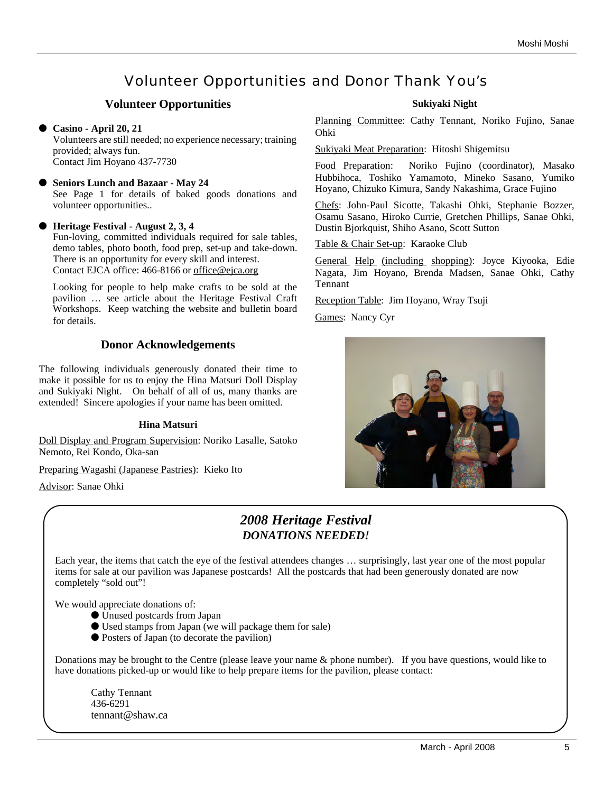# Volunteer Opportunities and Donor Thank You's

## **Volunteer Opportunities**

## **Casino - April 20, 21**

Volunteers are still needed; no experience necessary; training provided; always fun. Contact Jim Hoyano 437-7730

## **Seniors Lunch and Bazaar - May 24**

See Page 1 for details of baked goods donations and volunteer opportunities..

## **Heritage Festival - August 2, 3, 4**

Fun-loving, committed individuals required for sale tables, demo tables, photo booth, food prep, set-up and take-down. There is an opportunity for every skill and interest. Contact EJCA office: 466-8166 or office@ejca.org

Looking for people to help make crafts to be sold at the pavilion … see article about the Heritage Festival Craft Workshops. Keep watching the website and bulletin board for details.

## **Donor Acknowledgements**

The following individuals generously donated their time to make it possible for us to enjoy the Hina Matsuri Doll Display and Sukiyaki Night. On behalf of all of us, many thanks are extended! Sincere apologies if your name has been omitted.

## **Hina Matsuri**

Doll Display and Program Supervision: Noriko Lasalle, Satoko Nemoto, Rei Kondo, Oka-san

Preparing Wagashi (Japanese Pastries): Kieko Ito

Advisor: Sanae Ohki

## **Sukiyaki Night**

Planning Committee: Cathy Tennant, Noriko Fujino, Sanae Ohki

Sukiyaki Meat Preparation: Hitoshi Shigemitsu

Food Preparation: Noriko Fujino (coordinator), Masako Hubbihoca, Toshiko Yamamoto, Mineko Sasano, Yumiko Hoyano, Chizuko Kimura, Sandy Nakashima, Grace Fujino

Chefs: John-Paul Sicotte, Takashi Ohki, Stephanie Bozzer, Osamu Sasano, Hiroko Currie, Gretchen Phillips, Sanae Ohki, Dustin Bjorkquist, Shiho Asano, Scott Sutton

Table & Chair Set-up: Karaoke Club

General Help (including shopping): Joyce Kiyooka, Edie Nagata, Jim Hoyano, Brenda Madsen, Sanae Ohki, Cathy Tennant

Reception Table: Jim Hoyano, Wray Tsuji

Games: Nancy Cyr



## *2008 Heritage Festival DONATIONS NEEDED!*

Each year, the items that catch the eye of the festival attendees changes … surprisingly, last year one of the most popular items for sale at our pavilion was Japanese postcards! All the postcards that had been generously donated are now completely "sold out"!

We would appreciate donations of:

- Unused postcards from Japan
- Used stamps from Japan (we will package them for sale)
- Posters of Japan (to decorate the pavilion)

Donations may be brought to the Centre (please leave your name & phone number). If you have questions, would like to have donations picked-up or would like to help prepare items for the pavilion, please contact:

Cathy Tennant 436-6291 tennant@shaw.ca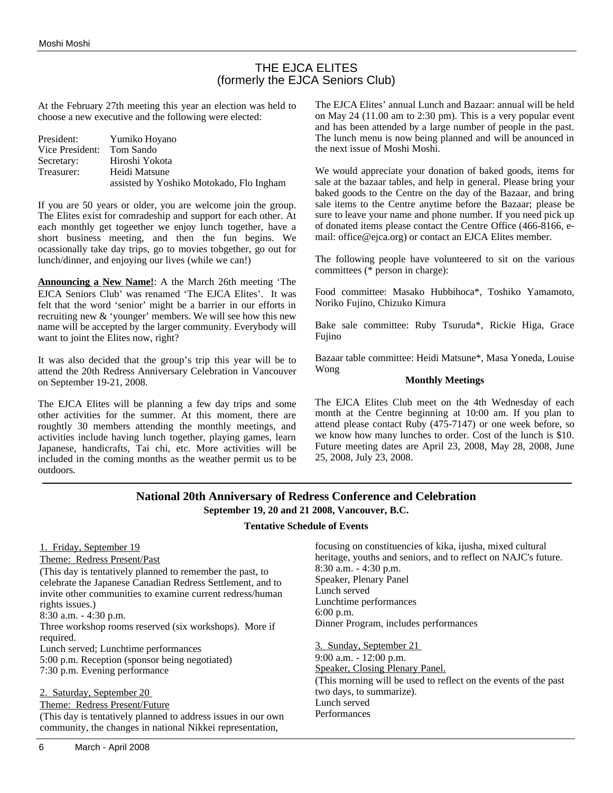## THE EJCA ELITES (formerly the EJCA Seniors Club)

At the February 27th meeting this year an election was held to choose a new executive and the following were elected:

| President:      | Yumiko Hoyano                            |
|-----------------|------------------------------------------|
| Vice President: | Tom Sando                                |
| Secretary:      | Hiroshi Yokota                           |
| Treasurer:      | Heidi Matsune                            |
|                 | assisted by Yoshiko Motokado, Flo Ingham |

If you are 50 years or older, you are welcome join the group. The Elites exist for comradeship and support for each other. At each monthly get togeether we enjoy lunch together, have a short business meeting, and then the fun begins. We ocassionally take day trips, go to movies tobgether, go out for lunch/dinner, and enjoying our lives (while we can!)

**Announcing a New Name!**: A the March 26th meeting 'The EJCA Seniors Club' was renamed 'The EJCA Elites'. It was felt that the word 'senior' might be a barrier in our efforts in recruiting new & 'younger' members. We will see how this new name will be accepted by the larger community. Everybody will want to joint the Elites now, right?

It was also decided that the group's trip this year will be to attend the 20th Redress Anniversary Celebration in Vancouver on September 19-21, 2008.

The EJCA Elites will be planning a few day trips and some other activities for the summer. At this moment, there are roughtly 30 members attending the monthly meetings, and activities include having lunch together, playing games, learn Japanese, handicrafts, Tai chi, etc. More activities will be included in the coming months as the weather permit us to be outdoors.

The EJCA Elites' annual Lunch and Bazaar: annual will be held on May 24 (11.00 am to 2:30 pm). This is a very popular event and has been attended by a large number of people in the past. The lunch menu is now being planned and will be anounced in the next issue of Moshi Moshi.

We would appreciate your donation of baked goods, items for sale at the bazaar tables, and help in general. Please bring your baked goods to the Centre on the day of the Bazaar, and bring sale items to the Centre anytime before the Bazaar; please be sure to leave your name and phone number. If you need pick up of donated items please contact the Centre Office (466-8166, email: office@ejca.org) or contact an EJCA Elites member.

The following people have volunteered to sit on the various committees (\* person in charge):

Food committee: Masako Hubbihoca\*, Toshiko Yamamoto, Noriko Fujino, Chizuko Kimura

Bake sale committee: Ruby Tsuruda\*, Rickie Higa, Grace Fujino

Bazaar table committee: Heidi Matsune\*, Masa Yoneda, Louise Wong

#### **Monthly Meetings**

The EJCA Elites Club meet on the 4th Wednesday of each month at the Centre beginning at 10:00 am. If you plan to attend please contact Ruby (475-7147) or one week before, so we know how many lunches to order. Cost of the lunch is \$10. Future meeting dates are April 23, 2008, May 28, 2008, June 25, 2008, July 23, 2008.

## **National 20th Anniversary of Redress Conference and Celebration September 19, 20 and 21 2008, Vancouver, B.C.**

#### **Tentative Schedule of Events**

## 1. Friday, September 19

Theme: Redress Present/Past (This day is tentatively planned to remember the past, to celebrate the Japanese Canadian Redress Settlement, and to invite other communities to examine current redress/human rights issues.)

8:30 a.m. - 4:30 p.m.

Three workshop rooms reserved (six workshops). More if required.

Lunch served; Lunchtime performances 5:00 p.m. Reception (sponsor being negotiated) 7:30 p.m. Evening performance

2. Saturday, September 20

Theme: Redress Present/Future (This day is tentatively planned to address issues in our own community, the changes in national Nikkei representation,

focusing on constituencies of kika, ijusha, mixed cultural heritage, youths and seniors, and to reflect on NAJC's future. 8:30 a.m. - 4:30 p.m. Speaker, Plenary Panel Lunch served Lunchtime performances 6:00 p.m. Dinner Program, includes performances

3. Sunday, September 21 9:00 a.m. - 12:00 p.m. Speaker, Closing Plenary Panel. (This morning will be used to reflect on the events of the past two days, to summarize). Lunch served Performances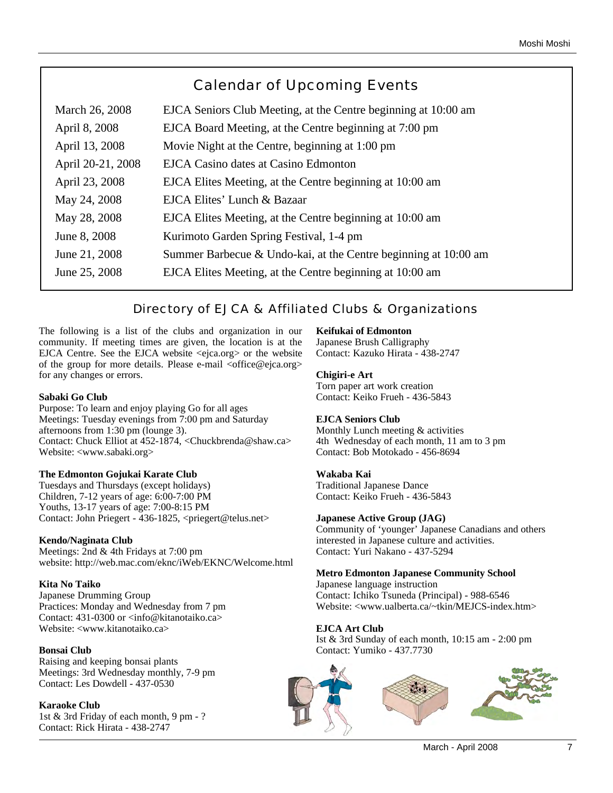# Calendar of Upcoming Events

| March 26, 2008    | EJCA Seniors Club Meeting, at the Centre beginning at 10:00 am  |
|-------------------|-----------------------------------------------------------------|
| April 8, 2008     | EJCA Board Meeting, at the Centre beginning at 7:00 pm          |
| April 13, 2008    | Movie Night at the Centre, beginning at 1:00 pm                 |
| April 20-21, 2008 | EJCA Casino dates at Casino Edmonton                            |
| April 23, 2008    | EJCA Elites Meeting, at the Centre beginning at 10:00 am        |
| May 24, 2008      | EJCA Elites' Lunch & Bazaar                                     |
| May 28, 2008      | EJCA Elites Meeting, at the Centre beginning at 10:00 am        |
| June 8, 2008      | Kurimoto Garden Spring Festival, 1-4 pm                         |
| June 21, 2008     | Summer Barbecue & Undo-kai, at the Centre beginning at 10:00 am |
| June 25, 2008     | EJCA Elites Meeting, at the Centre beginning at 10:00 am        |

## Directory of EJCA & Affiliated Clubs & Organizations

The following is a list of the clubs and organization in our community. If meeting times are given, the location is at the EJCA Centre. See the EJCA website <ejca.org> or the website of the group for more details. Please e-mail <office@ejca.org> for any changes or errors.

## **Sabaki Go Club**

Purpose: To learn and enjoy playing Go for all ages Meetings: Tuesday evenings from 7:00 pm and Saturday afternoons from 1:30 pm (lounge 3). Contact: Chuck Elliot at 452-1874, <Chuckbrenda@shaw.ca> Website: <www.sabaki.org>

## **The Edmonton Gojukai Karate Club**

Tuesdays and Thursdays (except holidays) Children, 7-12 years of age: 6:00-7:00 PM Youths, 13-17 years of age: 7:00-8:15 PM Contact: John Priegert - 436-1825, <priegert@telus.net>

## **Kendo/Naginata Club**

Meetings: 2nd & 4th Fridays at 7:00 pm website: http://web.mac.com/eknc/iWeb/EKNC/Welcome.html

## **Kita No Taiko**

Japanese Drumming Group Practices: Monday and Wednesday from 7 pm Contact: 431-0300 or <info@kitanotaiko.ca> Website: <www.kitanotaiko.ca>

## **Bonsai Club**

Raising and keeping bonsai plants Meetings: 3rd Wednesday monthly, 7-9 pm Contact: Les Dowdell - 437-0530

## **Karaoke Club**

1st & 3rd Friday of each month, 9 pm - ? Contact: Rick Hirata - 438-2747

## **Keifukai of Edmonton**

Japanese Brush Calligraphy Contact: Kazuko Hirata - 438-2747

## **Chigiri-e Art**

Torn paper art work creation Contact: Keiko Frueh - 436-5843

## **EJCA Seniors Club**

Monthly Lunch meeting & activities 4th Wednesday of each month, 11 am to 3 pm Contact: Bob Motokado - 456-8694

## **Wakaba Kai**

Traditional Japanese Dance Contact: Keiko Frueh - 436-5843

## **Japanese Active Group (JAG)**

Community of 'younger' Japanese Canadians and others interested in Japanese culture and activities. Contact: Yuri Nakano - 437-5294

## **Metro Edmonton Japanese Community School**

Japanese language instruction Contact: Ichiko Tsuneda (Principal) - 988-6546 Website: <www.ualberta.ca/~tkin/MEJCS-index.htm>

## **EJCA Art Club**

Ist & 3rd Sunday of each month, 10:15 am - 2:00 pm Contact: Yumiko - 437.7730

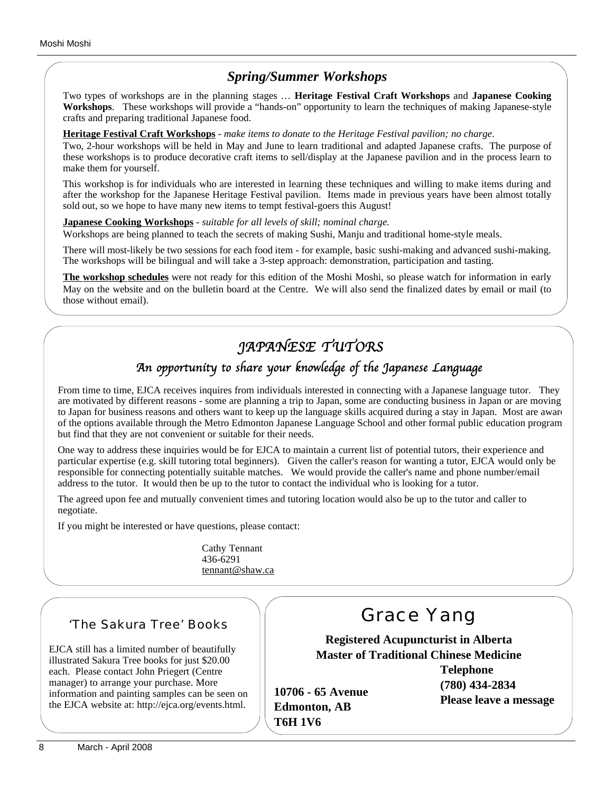## *Spring/Summer Workshops*

Two types of workshops are in the planning stages … **Heritage Festival Craft Workshops** and **Japanese Cooking Workshops**. These workshops will provide a "hands-on" opportunity to learn the techniques of making Japanese-style crafts and preparing traditional Japanese food.

## **Heritage Festival Craft Workshops** - *make items to donate to the Heritage Festival pavilion; no charge*.

Two, 2-hour workshops will be held in May and June to learn traditional and adapted Japanese crafts. The purpose of these workshops is to produce decorative craft items to sell/display at the Japanese pavilion and in the process learn to make them for yourself.

This workshop is for individuals who are interested in learning these techniques and willing to make items during and after the workshop for the Japanese Heritage Festival pavilion. Items made in previous years have been almost totally sold out, so we hope to have many new items to tempt festival-goers this August!

## **Japanese Cooking Workshops** - *suitable for all levels of skill; nominal charge.*

Workshops are being planned to teach the secrets of making Sushi, Manju and traditional home-style meals.

There will most-likely be two sessions for each food item - for example, basic sushi-making and advanced sushi-making. The workshops will be bilingual and will take a 3-step approach: demonstration, participation and tasting.

**The workshop schedules** were not ready for this edition of the Moshi Moshi, so please watch for information in early May on the website and on the bulletin board at the Centre. We will also send the finalized dates by email or mail (to those without email).

# *JAPANESE TUTORS*

# *An opportunity to share your knowledge of the Japanese Language*

From time to time, EJCA receives inquires from individuals interested in connecting with a Japanese language tutor. They are motivated by different reasons - some are planning a trip to Japan, some are conducting business in Japan or are moving to Japan for business reasons and others want to keep up the language skills acquired during a stay in Japan. Most are aware of the options available through the Metro Edmonton Japanese Language School and other formal public education programs but find that they are not convenient or suitable for their needs.

One way to address these inquiries would be for EJCA to maintain a current list of potential tutors, their experience and particular expertise (e.g. skill tutoring total beginners). Given the caller's reason for wanting a tutor, EJCA would only be responsible for connecting potentially suitable matches. We would provide the caller's name and phone number/email address to the tutor. It would then be up to the tutor to contact the individual who is looking for a tutor.

The agreed upon fee and mutually convenient times and tutoring location would also be up to the tutor and caller to negotiate.

**T6H 1V6**

If you might be interested or have questions, please contact:

Cathy Tennant 436-6291 tennant@shaw.ca

## 'The Sakura Tree' Books

EJCA still has a limited number of beautifully illustrated Sakura Tree books for just \$20.00 each. Please contact John Priegert (Centre manager) to arrange your purchase. More information and painting samples can be seen on the EJCA website at: http://ejca.org/events.html.

# Grace Yang

**Registered Acupuncturist in Alberta Master of Traditional Chinese Medicine**

**10706 - 65 Avenue Edmonton, AB**

**Telephone (780) 434-2834 Please leave a message**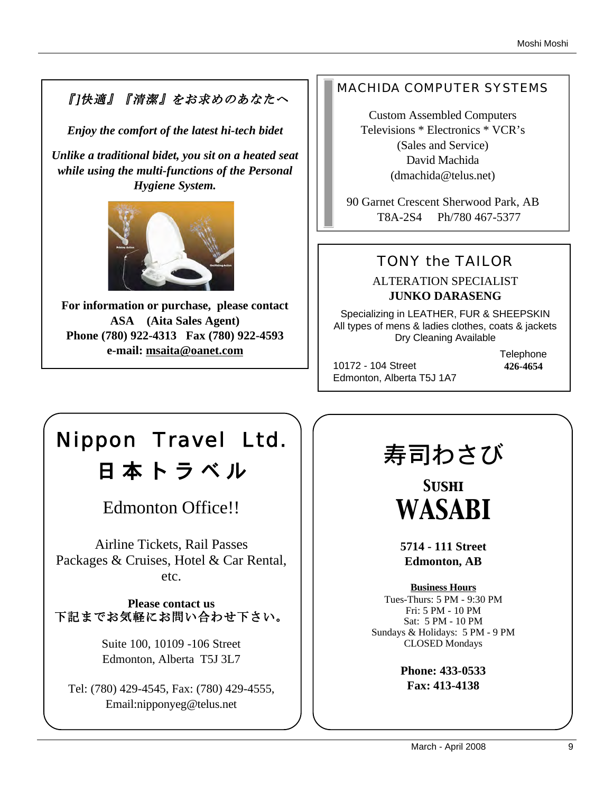# 『]快適』『清潔』をお求めのあなたへ

*Enjoy the comfort of the latest hi-tech bidet*

*Unlike a traditional bidet, you sit on a heated seat while using the multi-functions of the Personal Hygiene System.* 



**For information or purchase, please contact ASA (Aita Sales Agent) Phone (780) 922-4313 Fax (780) 922-4593 e-mail: msaita@oanet.com**

## MACHIDA COMPUTER SYSTEMS

Custom Assembled Computers Televisions \* Electronics \* VCR's (Sales and Service) David Machida (dmachida@telus.net)

90 Garnet Crescent Sherwood Park, AB T8A-2S4 Ph/780 467-5377

# TONY the TAILOR

ALTERATION SPECIALIST **JUNKO DARASENG**

Specializing in LEATHER, FUR & SHEEPSKIN All types of mens & ladies clothes, coats & jackets Dry Cleaning Available

10172 - 104 Street Edmonton, Alberta T5J 1A7 **Telephone 426-4654**

# Nippon Travel Ltd. 日 本 ト ラ ベ ル

Edmonton Office!!

Airline Tickets, Rail Passes Packages & Cruises, Hotel & Car Rental, etc.

**Please contact us** 下記までお気軽にお問い合わせ下さい。

> Suite 100, 10109 -106 Street Edmonton, Alberta T5J 3L7

Tel: (780) 429-4545, Fax: (780) 429-4555, Email:nipponyeg@telus.net

# 寿司わさび

*Sushi WASABI*

**5714 - 111 Street Edmonton, AB**

**Business Hours** Tues-Thurs: 5 PM - 9:30 PM Fri: 5 PM - 10 PM Sat: 5 PM - 10 PM Sundays & Holidays: 5 PM - 9 PM CLOSED Mondays

> **Phone: 433-0533 Fax: 413-4138**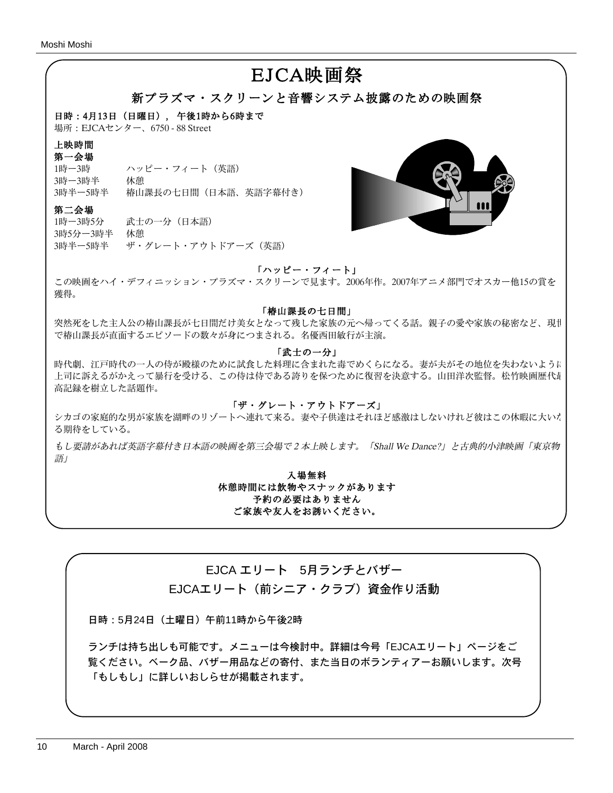# EJCA映画祭

## 新プラズマ・スクリーンと音響システム披露のための映画祭

日時:4月13日 (日曜日), 午後1時から6時まで

場所:EJCAセンター、6750 - 88 Street

#### 上映時間

第一会場

3時ー3時半 休憩

1時ー3時 ハッピー・フィート(英語) 3時半ー5時半 椿山課長の七日間(日本語、英語字幕付き)

## 第二会場

1時ー3時5分 武士の一分(日本語) 3時5分ー3時半 休憩 3時半ー5時半 ザ・グレート・アウトドアーズ(英語)



## 「ハッピー・フィート」

この映画をハイ・デフィニッション・プラズマ・スクリーンで見ます。2006年作。2007年アニメ部門でオスカー他15の賞を 獲得。

#### 「椿山課長の七日間」

突然死をした主人公の椿山課長が七日間だけ美女となって残した家族の元へ帰ってくる話。親子の愛や家族の秘密など、現世 で椿山課長が直面するエピソードの数々が身につまされる。名優西田敏行が主演。

## 「武士の一分」

時代劇、江戸時代の一人の侍が殿様のために試食した料理に含まれた毒でめくらになる。妻が夫がその地位を失わないように 上司に訴えるがかえって暴行を受ける、この侍は侍である誇りを保つために復習を決意する。山田洋次監督。松竹映画歴代最 高記録を樹立した話題作。

## 「ザ・グレート・アウトドアーズ」

シカゴの家庭的な男が家族を湖畔のリゾートへ連れて来る。妻や子供達はそれほど感激はしないけれど彼はこの休暇に大いた る期待をしている。

もし要請があれば英語字幕付き日本語の映画を第三会場で2本上映します。「Shall We Dance?」と古典的小津映画「東京物 語」

> 入場無料 休憩時間には飲物やスナックがあります 予約の必要はありません ご家族や友人をお誘いください。

## EJCA エリート 5月ランチとバザー

EJCAエリート(前シニア・クラブ) 資金作り活動

日時:5月24日(土曜日)午前11時から午後2時

ランチは持ち出しも可能です。メニューは今検討中。詳細は今号「EJCAエリート」ページをご 覧ください。ベーク品、バザー用品などの寄付、また当日のボランティアーお願いします。次号 「もしもし」に詳しいおしらせが掲載されます。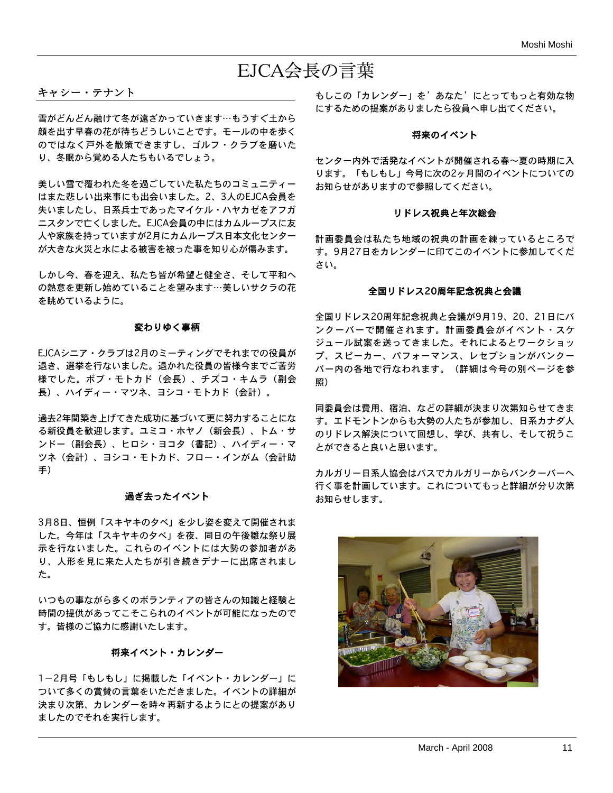# EJCA会長の言葉

## キャシー・テナント

雪がどんどん融けて冬が遠ざかっていきます…もうすぐ土から 顔を出す早春の花が待ちどうしいことです。モールの中を歩く のではなく戸外を散策できますし、ゴルフ・クラブを磨いた り、冬眠から覚める人たちもいるでしょう。

美しい雪で覆われた冬を過ごしていた私たちのコミュニティー はまた悲しい出来事にも出会いました。2、3人のEJCA会員を 失いましたし、日系兵士であったマイケル・ハヤカゼをアフガ ニスタンで亡くしました。EJCA会員の中にはカムループスに友 人や家族を持っていますが2月にカムループス日本文化センター が大きな火災と水による被害を被った事を知り心が傷みます。

しかし今、春を迎え、私たち皆が希望と健全さ、そして平和へ の熱意を更新し始めていることを望みます…美しいサクラの花 を眺めているように。

#### 変わりゆく事柄

EJCAシニア・クラブは2月のミーティングでそれまでの役員が 退き、選挙を行ないました。退かれた役員の皆様今までご苦労 様でした。ボブ・モトカド(会長)、チズコ・キムラ(副会 長)、ハイディー・マツネ、ヨシコ・モトカド(会計)。

過去2年間築き上げてきた成功に基づいて更に努力することにな る新役員を歓迎します。ユミコ・ホヤノ(新会長)、トム・サ ンドー(副会長)、ヒロシ・ヨコタ(書記)、ハイディー・マ ツネ(会計)、ヨシコ・モトカド、フロー・インがム(会計助 手)

## 過ぎ去ったイベント

3月8日、恒例「スキヤキの夕べ」を少し姿を変えて開催されま した。今年は「スキヤキの夕べ」を夜、同日の午後雛な祭り展 示を行ないました。これらのイベントには大勢の参加者があ り、人形を見に来た人たちが引き続きデナーに出席されまし た。

いつもの事ながら多くのボランティアの皆さんの知識と経験と 時間の提供があってこそこられのイベントが可能になったので す。皆様のご協力に感謝いたします。

#### 将来イベント・カレンダー

1-2月号「もしもし」に掲載した「イベント・カレンダー」に ついて多くの賞賛の言葉をいただきました。イベントの詳細が 決まり次第、カレンダーを時々再新するようにとの提案があり ましたのでそれを実行します。

もしこの「カレンダー」を'あなた'にとってもっと有効な物 にするための提案がありましたら役員へ申し出てください。

#### 将来のイベント

センター内外で活発なイベントが開催される春~夏の時期に入 ります。「もしもし」今号に次の2ヶ月間のイベントについての お知らせがありますので参照してください。

#### リドレス祝典と年次総会

計画委員会は私たち地域の祝典の計画を練っているところで す。9月27日をカレンダーに印てこのイベントに参加してくだ さい。

#### 全国リドレス20周年記念祝典と会議

全国リドレス20周年記念祝典と会議が9月19、20、21日にバ ンクーバーで開催されます。計画委員会がイベント・スケ ジュール試案を送ってきました。それによるとワークショッ プ、スピーカー、パフォーマンス、レセプションがバンクー バー内の各地で行なわれます。(詳細は今号の別ページを参 照)

同委員会は費用、宿泊、などの詳細が決まり次第知らせてきま す。エドモントンからも大勢の人たちが参加し、日系カナダ人 のリドレス解決について回想し、学び、共有し、そして祝うこ とができると良いと思います。

カルガリー日系人協会はバスでカルガリーからバンクーバーへ 行く事を計画しています。これについてもっと詳細が分り次第 お知らせします。

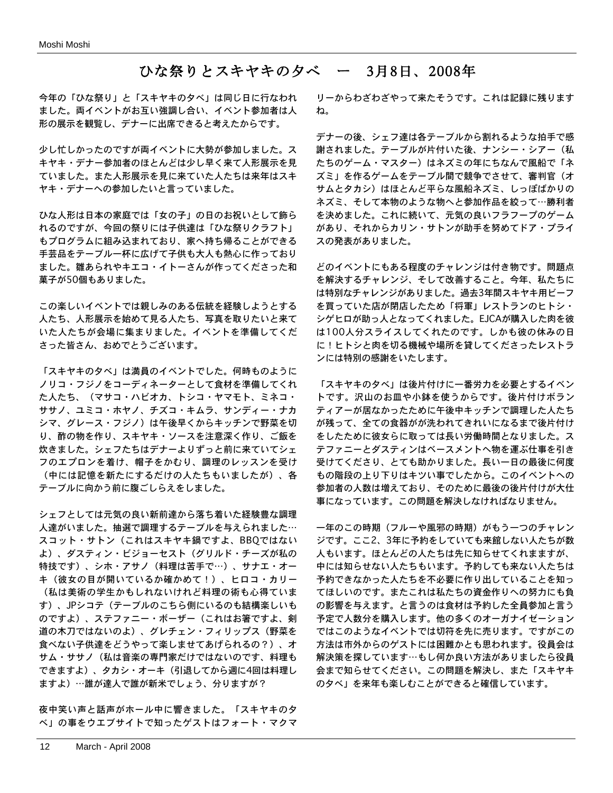## ひな祭りとスキヤキの夕べ ー 3月8日、2008年

今年の「ひな祭り」と「スキヤキの夕べ」は同じ日に行なわれ ました。両イベントがお互い強調し合い、イベント参加者は人 形の展示を観覧し、デナーに出席できると考えたからです。

少し忙しかったのですが両イベントに大勢が参加しました。ス キヤキ・デナー参加者のほとんどは少し早く来て人形展示を見 ていました。また人形展示を見に来ていた人たちは来年はスキ ヤキ・デナーへの参加したいと言っていました。

ひな人形は日本の家庭では「女の子」の日のお祝いとして飾ら れるのですが、今回の祭りには子供達は「ひな祭りクラフト」 もプログラムに組み込まれており、家へ持ち帰ることができる 手芸品をテーブル一杯に広げて子供も大人も熱心に作っており ました。雛あられやキエコ・イトーさんが作ってくださった和 菓子が50個もありました。

この楽しいイベントでは親しみのある伝統を経験しようとする 人たち、人形展示を始めて見る人たち、写真を取りたいと来て いた人たちが会場に集まりました。イベントを準備してくだ さった皆さん、おめでとうございます。

「スキヤキの夕べ」は満員のイベントでした。何時ものように ノリコ・フジノをコーディネーターとして食材を準備してくれ た人たち、(マサコ・ハビオカ、トシコ・ヤマモト、ミネコ・ ササノ、ユミコ・ホヤノ、チズコ・キムラ、サンディー・ナカ シマ、グレース・フジノ)は午後早くからキッチンで野菜を切 り、酢の物を作り、スキヤキ・ソースを注意深く作り、ご飯を 炊きました。シェフたちはデナーよりずっと前に来ていてシェ フのエプロンを着け、帽子をかむり、調理のレッスンを受け (中には記憶を新たにするだけの人たちもいましたが)、各 テーブルに向かう前に腹ごしらえをしました。

シェフとしては元気の良い新前達から落ち着いた経験豊な調理 人達がいました。抽選で調理するテーブルを与えられました… スコット・サトン(これはスキヤキ鍋ですよ、BBQではない よ)、ダスティン・ビジョーセスト(グリルド・チーズが私の 特技です)、シホ・アサノ(料理は苦手で…)、サナエ・オー キ(彼女の目が開いているか確かめて!)、ヒロコ・カリー (私は美術の学生かもしれないけれど料理の術も心得ていま す)、JPシコテ(テーブルのこちら側にいるのも結構楽しいも のですよ)、ステファニー・ボーザー(これはお箸ですよ、剣 道の木刀ではないのよ)、グレチェン・フィリップス(野菜を 食べない子供達をどうやって楽しませてあげられるの?)、オ サム・ササノ(私は音楽の専門家だけではないのです、料理も できますよ)、タカシ・オーキ(引退してから週に4回は料理し ますよ)…誰が達人で誰が新米でしょう、分りますが?

夜中笑い声と話声がホール中に響きました。「スキヤキの夕 べ」の事をウエブサイトで知ったゲストはフォート・マクマ

リーからわざわざやって来たそうです。これは記録に残ります ね。

デナーの後、シェフ達は各テーブルから割れるような拍手で感 謝されました。テーブルが片付いた後、ナンシー・シアー(私 たちのゲーム・マスター)はネズミの年にちなんで風船で「ネ ズミ」を作るゲームをテーブル間で競争でさせて、審判官(オ サムとタカシ)はほとんど平らな風船ネズミ、しっぽばかりの ネズミ、そして本物のような物へと参加作品を絞って…勝利者 を決めました。これに続いて、元気の良いフラフープのゲーム があり、それからカリン・サトンが助手を努めてドア・プライ スの発表がありました。

どのイベントにもある程度のチャレンジは付き物です。問題点 を解決するチャレンジ、そして改善すること。今年、私たちに は特別なチャレンジがありました。過去3年間スキヤキ用ビーフ を買っていた店が閉店したため「将軍」レストランのヒトシ・ シゲヒロが助っ人となってくれました。EJCAが購入した肉を彼 は100人分スライスしてくれたのです。しかも彼の休みの日 に!ヒトシと肉を切る機械や場所を貸してくださったレストラ ンには特別の感謝をいたします。

「スキヤキの夕べ」は後片付けに一番労力を必要とするイベン トです。沢山のお皿や小鉢を使うからです。後片付けボラン ティアーが居なかったために午後中キッチンで調理した人たち が残って、全ての食器がが洗われてきれいになるまで後片付け をしたために彼女らに取っては長い労働時間となりました。ス テファニーとダスティンはベースメントへ物を運ぶ仕事を引き 受けてくださり、とても助かりました。長い一日の最後に何度 もの階段の上り下りはキツい事でしたから。このイベントへの 参加者の人数は増えており、そのために最後の後片付けが大仕 事になっています。この問題を解決しなければなりません。

一年のこの時期(フルーや風邪の時期)がもう一つのチャレン ジです。ここ2、3年に予約をしていても来館しない人たちが数 人もいます。ほとんどの人たちは先に知らせてくれまますが、 中には知らせない人たちもいます。予約しても来ない人たちは 予約できなかった人たちを不必要に作り出していることを知っ てほしいのです。またこれは私たちの資金作りへの努力にも負 の影響を与えます。と言うのは食材は予約した全員参加と言う 予定で人数分を購入します。他の多くのオーガナイゼーション ではこのようなイベントでは切符を先に売ります。ですがこの 方法は市外からのゲストには困難かとも思われます。役員会は 解決策を探しています…もし何か良い方法がありましたら役員 会まで知らせてください。この問題を解決し、また「スキヤキ の夕べ」を来年も楽しむことができると確信しています。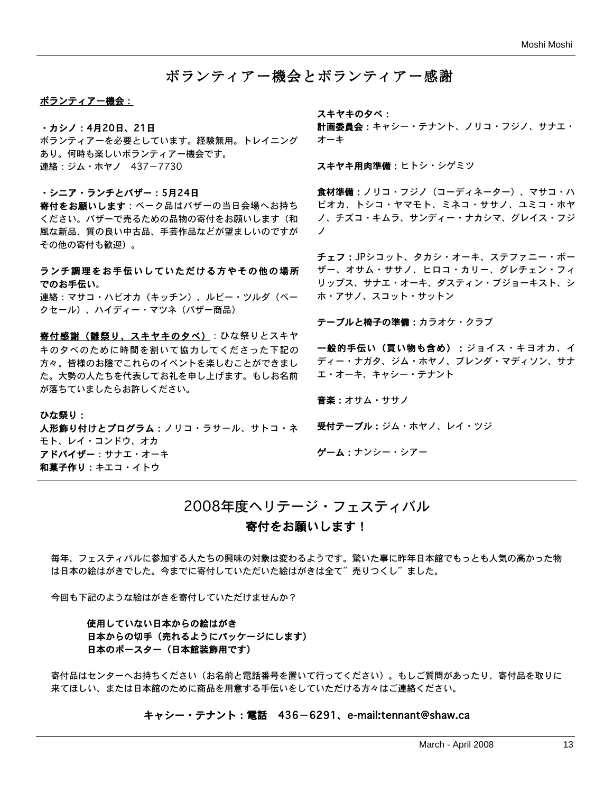## ボランティアー機会とボランティアー感謝

#### ボランティアー機会:

#### ・カシノ:4月20日、21日

ボランティアーを必要としています。経験無用。トレイニング あり。何時も楽しいボランティアー機会です。 連絡:ジム・ホヤノ 437-7730

#### ・シニア・ランチとバザー:5月24日

寄付をお願いします:ベーク品はバザーの当日会場へお持ち ください。バザーで売るための品物の寄付をお願いします(和 風な新品、質の良い中古品、手芸作品などが望ましいのですが その他の寄付も歓迎)。

## ランチ調理をお手伝いしていただける方やその他の場所 でのお手伝い。

連絡:マサコ・ハビオカ(キッチン)、ルビー・ツルダ(ベー クセール)、ハイディー・マツネ(バザー商品)

客付感謝(雛祭り、スキヤキの夕べ):ひな祭りとスキヤ キの夕べのために時間を割いて協力してくださった下記の 方々。皆様のお陰でこれらのイベントを楽しむことができまし た。大勢の人たちを代表してお礼を申し上げます。もしお名前 が落ちていましたらお許しください。

ひな祭り: 人形飾り付けとプログラム:ノリコ・ラサール、サトコ・ネ モト、レイ・コンドウ、オカ アドバイザー:サナエ・オーキ 和菓子作り:キエコ・イトウ

スキヤキの夕べ:

計画委員会:キャシー・テナント、ノリコ・フジノ、サナエ・ オーキ

スキヤキ用肉準備:ヒトシ・シゲミツ

食材準備:ノリコ・フジノ(コーディネーター)、マサコ・ハ ビオカ、トシコ・ヤマモト、ミネコ・ササノ、ユミコ・ホヤ ノ、チズコ・キムラ、サンディー・ナカシマ、グレイス・フジ ノ

チェフ:JPシコット、タカシ・オーキ、ステファニー・ボー ザー、オサム・ササノ、ヒロコ・カリー、グレチェン・フィ リップス、サナエ・オーキ、ダスティン・ブジョーキスト、シ ホ・アサノ、スコット・サットン

テーブルと椅子の準備:カラオケ・クラブ

一般的手伝い(買い物も含め):ジョイス・キヨオカ、イ ディー・ナガタ、ジム・ホヤノ、ブレンダ・マディソン、サナ エ・オーキ、キャシー・テナント

音楽:オサム・ササノ

受付テーブル:ジム・ホヤノ、レイ・ツジ

ゲーム:ナンシー・シアー

## 2008年度ヘリテージ・フェスティバル

## 寄付をお願いします!

毎年、フェスティバルに参加する人たちの興味の対象は変わるようです。驚いた事に昨年日本館でもっとも人気の高かった物 は日本の絵はがきでした。今までに寄付していただいた絵はがきは全て"売りつくし"ました。

今回も下記のような絵はがきを寄付していただけませんか?

## 使用していない日本からの絵はがき 日本からの切手(売れるようにパッケージにします) 日本のポースター(日本館装飾用です)

寄付品はセンターへお持ちください(お名前と電話番号を置いて行ってください)。もしご質問があったり、寄付品を取りに 来てほしい、または日本館のために商品を用意する手伝いをしていただける方々はご連絡ください。

#### キャシー・テナント:電話 436-6291、e-mail:tennant@shaw.ca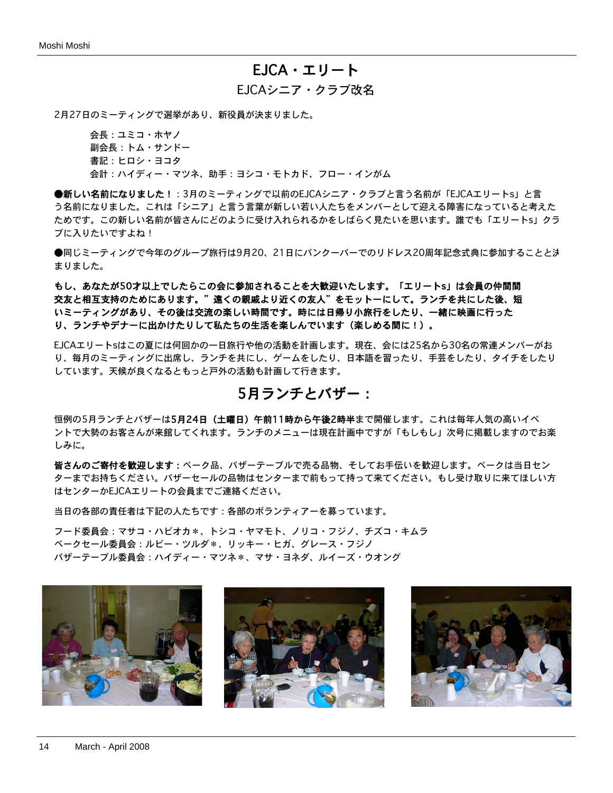## EJCA・エリート

## EJCAシニア・クラブ改名

2月27日のミーティングで選挙があり、新役員が決まりました。

会長:ユミコ・ホヤノ 副会長:トム・サンドー 書記:ヒロシ・ヨコタ 会計:ハイディー・マツネ、助手:ヨシコ・モトカド、フロー・インがム

●新しい名前になりました!:3月のミーティングで以前のEJCAシニア・クラブと言う名前が「EJCAエリートs」と言 う名前になりました。これは「シニア」と言う言葉が新しい若い人たちをメンバーとして迎える障害になっていると考えた ためです。この新しい名前が皆さんにどのように受け入れられるかをしばらく見たいを思います。誰でも「エリートs」クラ ブに入りたいですよね!

●同じミーティングで今年のグループ旅行は9月20、21日にバンクーバーでのリドレス20周年記念式典に参加することと決 まりました。

もし、あなたが50才以上でしたらこの会に参加されることを大歓迎いたします。「エリートs」は会員の仲間間 交友と相互支持のためにあります。"遠くの親戚より近くの友人"をモットーにして。ランチを共にした後、短 いミーティングがあり、その後は交流の楽しい時間です。時には日帰り小旅行をしたり、一緒に映画に行った り、ランチやデナーに出かけたりして私たちの生活を楽しんでいます(楽しめる間に!)。

EJCAエリートsはこの夏には何回かの一日旅行や他の活動を計画します。現在、会には25名から30名の常連メンバーがお り、毎月のミーティングに出席し、ランチを共にし、ゲームをしたり、日本語を習ったり、手芸をしたり、タイチをしたり しています。天候が良くなるともっと戸外の活動も計画して行きます。

## 5月ランチとバザー:

恒例の5月ランチとバザーは5月24日(土曜日)午前11時から午後2時半まで開催します。これは毎年人気の高いイベ ントで大勢のお客さんが来館してくれます。ランチのメニューは現在計画中ですが「もしもし」次号に掲載しますのでお楽 しみに。

皆さんのご寄付を歓迎します:ベーク品、バザーテーブルで売る品物、そしてお手伝いを歓迎します。ベークは当日セン ターまでお持ちください。バザーセールの品物はセンターまで前もって持って来てください。もし受け取りに来てほしい方 はセンターかEJCAエリートの会員までご連絡ください。

当日の各部の責任者は下記の人たちです:各部のボランティアーを募っています。

フード委員会:マサコ・ハビオカ\*、トシコ・ヤマモト、ノリコ・フジノ、チズコ・キムラ ベークセール委員会:ルビー・ツルダ\*、リッキー・ヒガ、グレース・フジノ バザーテーブル委員会:ハイディー・マツネ\*、マサ・ヨネダ、ルイーズ・ウオング





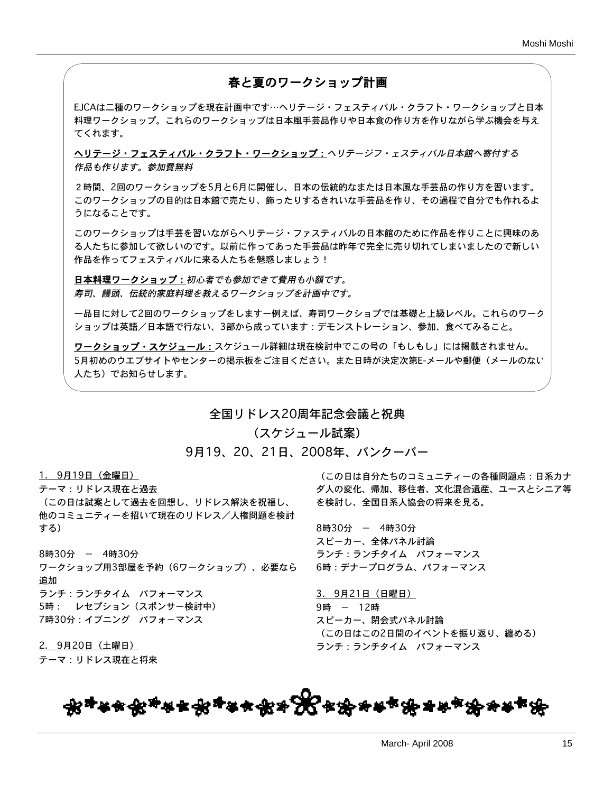## 春と夏のワークショップ計画

EJCAは二種のワークショップを現在計画中です…ヘリテージ・フェスティバル・クラフト・ワークショップと日本 料理ワークショップ。これらのワークショップは日本風手芸品作りや日本食の作り方を作りながら学ぶ機会を与え てくれます。

ヘリテージ・フェスティバル・クラフト・ワークショップ:ヘリテージフ・ェスティバル日本館へ寄付する 作品も作ります。参加費無料

2時間、2回のワークショップを5月と6月に開催し、日本の伝統的なまたは日本風な手芸品の作り方を習います。 このワークショップの目的は日本館で売たり、飾ったりするきれいな手芸品を作り、その過程で自分でも作れるよ うになることです。

このワークショップは手芸を習いながらヘリテージ・ファスティバルの日本館のために作品を作りことに興味のあ る人たちに参加して欲しいのです。以前に作ってあった手芸品は昨年で完全に売り切れてしまいましたので新しい 作品を作ってフェスティバルに来る人たちを魅惑しましょう!

日本料理ワークショップ:初心者でも参加できて費用も小額です。 寿司、饅頭、伝統的家庭料理を教えるワークショップを計画中です。

一品目に対して2回のワークショップをしますー例えば、寿司ワークショプでは基礎と上級レベル。これらのワーク ショップは英語/日本語で行ない、3部から成っています:デモンストレーション、参加、食べてみること。

ワークショップ・スケジュール:スケジュール詳細は現在検討中でこの号の「もしもし」には掲載されません。 5月初めのウエブサイトやセンターの掲示板をご注目ください。また日時が決定次第E-メールや郵便(メールのない 人たち)でお知らせします。

全国リドレス20周年記念会議と祝典

(スケジュール試案)

9月19、20、21日、2008年、バンクーバー

1. 9月19日(金曜日)

テーマ:リドレス現在と過去 (この日は試案として過去を回想し、リドレス解決を祝福し、 他のコミュニティーを招いて現在のリドレス/人権問題を検討 する)

8時30分 - 4時30分 ワークショップ用3部屋を予約(6ワークショップ)、必要なら 追加 ランチ:ランチタイム パフォーマンス 5時: レセプション(スポンサー検討中) 7時30分:イブニング パフォ-マンス

2. 9月20日(土曜日) テーマ:リドレス現在と将来

(この日は自分たちのコミュニティーの各種問題点:日系カナ ダ人の変化、帰加、移住者、文化混合遺産、ユースとシニア等 を検討し、全国日系人協会の将来を見る。

8時30分 - 4時30分 スピーカー、全体パネル討論 ランチ:ランチタイム パフォーマンス 6時:デナープログラム、パフォーマンス

3. 9月21日(日曜日) 9時 - 12時 スピーカー、閉会式パネル討論 (この日はこの2日間のイベントを振り返り、纏める) ランチ:ランチタイム パフォーマンス

<del>෯</del>ヰቚ<del>෯</del><sub>ቝ</sub>ฅ<sub>ቝ</sub>ቝቚቝቝዄ<sub>ቝ</sub>ቝቚቝቝቝቚቚቝ